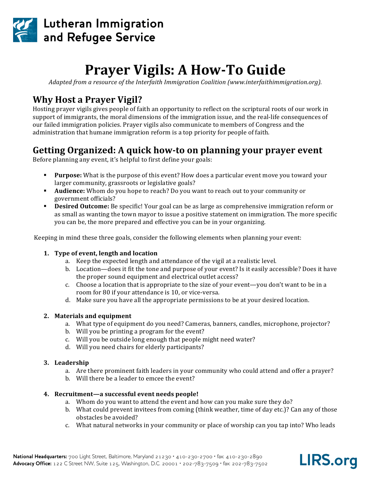

# **Prayer Vigils: A How-To Guide**

*Adapted from a resource of the Interfaith Immigration Coalition (www.interfaithimmigration.org).* 

# **Why Host a Prayer Vigil?**

Hosting prayer vigils gives people of faith an opportunity to reflect on the scriptural roots of our work in support of immigrants, the moral dimensions of the immigration issue, and the real-life consequences of our failed immigration policies. Prayer vigils also communicate to members of Congress and the administration that humane immigration reform is a top priority for people of faith.

# **Getting Organized: A quick how-to on planning your prayer event**

Before planning any event, it's helpful to first define your goals:

- **Purpose:** What is the purpose of this event? How does a particular event move you toward your larger community, grassroots or legislative goals?
- **Audience:** Whom do you hope to reach? Do you want to reach out to your community or government officials?
- **Desired Outcome:** Be specific! Your goal can be as large as comprehensive immigration reform or as small as wanting the town mayor to issue a positive statement on immigration. The more specific you can be, the more prepared and effective you can be in your organizing.

Keeping in mind these three goals, consider the following elements when planning your event:

### 1. Type of event, length and location

- a. Keep the expected length and attendance of the vigil at a realistic level.
- b. Location—does it fit the tone and purpose of your event? Is it easily accessible? Does it have the proper sound equipment and electrical outlet access?
- c. Choose a location that is appropriate to the size of your event—you don't want to be in a room for 80 if your attendance is 10, or vice-versa.
- d. Make sure you have all the appropriate permissions to be at your desired location.

### **2.** Materials and equipment

- a. What type of equipment do you need? Cameras, banners, candles, microphone, projector?
- b. Will you be printing a program for the event?
- c. Will you be outside long enough that people might need water?
- d. Will you need chairs for elderly participants?

#### **3. Leadership**

- a. Are there prominent faith leaders in your community who could attend and offer a prayer?
- b. Will there be a leader to emcee the event?

### 4. Recruitment—a successful event needs people!

- a. Whom do you want to attend the event and how can you make sure they do?
- b. What could prevent invitees from coming (think weather, time of day etc.)? Can any of those obstacles be avoided?
- c. What natural networks in your community or place of worship can you tap into? Who leads

**LIRS.org**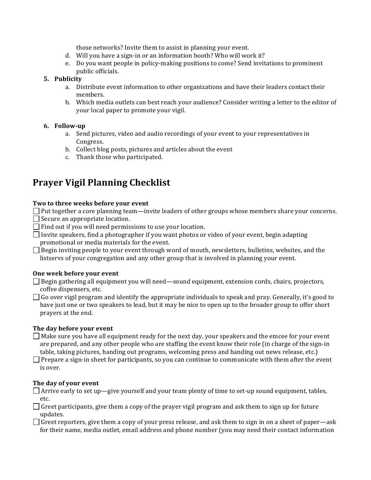those networks? Invite them to assist in planning your event.

- d. Will you have a sign-in or an information booth? Who will work it?
- e. Do you want people in policy-making positions to come? Send invitations to prominent public officials.

# **5. Publicity**

- a. Distribute event information to other organizations and have their leaders contact their members.
- b. Which media outlets can best reach your audience? Consider writing a letter to the editor of your local paper to promote your vigil.

### **6. Follow-up**

- a. Send pictures, video and audio recordings of your event to your representatives in Congress.
- b. Collect blog posts, pictures and articles about the event
- c. Thank those who participated.

# **Prayer Vigil Planning Checklist**

# Two to three weeks before your event

 $\Box$  Put together a core planning team—invite leaders of other groups whose members share your concerns.  $\Box$  Secure an appropriate location.

- $\Box$  Find out if you will need permissions to use your location.
- $\Box$  Invite speakers, find a photographer if you want photos or video of your event, begin adapting promotional or media materials for the event.

 $\Box$  Begin inviting people to your event through word of mouth, newsletters, bulletins, websites, and the listservs of your congregation and any other group that is involved in planning your event.

### **One week before your event**

 $\Box$  Begin gathering all equipment you will need—sound equipment, extension cords, chairs, projectors, coffee dispensers, etc.

 $\Box$  Go over vigil program and identify the appropriate individuals to speak and pray. Generally, it's good to have just one or two speakers to lead, but it may be nice to open up to the broader group to offer short prayers at the end.

# The day before your event

 $\Box$  Make sure you have all equipment ready for the next day, your speakers and the emcee for your event are prepared, and any other people who are staffing the event know their role (in charge of the sign-in table, taking pictures, handing out programs, welcoming press and handing out news release, etc.)

 $\Box$  Prepare a sign-in sheet for participants, so you can continue to communicate with them after the event is over.

# The day of your event

 $\Box$  Arrive early to set up—give yourself and your team plenty of time to set-up sound equipment, tables, etc. 

 $\Box$  Greet participants, give them a copy of the prayer vigil program and ask them to sign up for future updates.

 $\Box$  Greet reporters, give them a copy of your press release, and ask them to sign in on a sheet of paper—ask for their name, media outlet, email address and phone number (you may need their contact information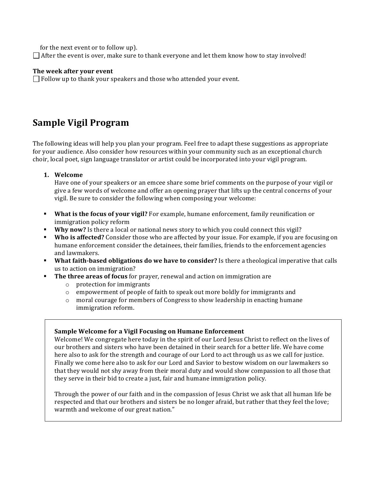for the next event or to follow up).

 $\Box$  After the event is over, make sure to thank everyone and let them know how to stay involved!

#### The week after your event

 $\Box$  Follow up to thank your speakers and those who attended your event.

# **Sample Vigil Program**

The following ideas will help you plan your program. Feel free to adapt these suggestions as appropriate for your audience. Also consider how resources within your community such as an exceptional church choir, local poet, sign language translator or artist could be incorporated into your vigil program.

1. **Welcome** 

Have one of your speakers or an emcee share some brief comments on the purpose of your vigil or give a few words of welcome and offer an opening prayer that lifts up the central concerns of your vigil. Be sure to consider the following when composing your welcome:

- **What is the focus of your vigil?** For example, humane enforcement, family reunification or immigration policy reform
- **Why now?** Is there a local or national news story to which you could connect this vigil?
- **Who is affected?** Consider those who are affected by your issue. For example, if you are focusing on humane enforcement consider the detainees, their families, friends to the enforcement agencies and lawmakers.
- **What faith-based obligations do we have to consider?** Is there a theological imperative that calls us to action on immigration?
	- The three areas of focus for prayer, renewal and action on immigration are
		- $\circ$  protection for immigrants
		- $\circ$  empowerment of people of faith to speak out more boldly for immigrants and
		- o moral courage for members of Congress to show leadership in enacting humane immigration reform.

### **Sample Welcome for a Vigil Focusing on Humane Enforcement**

Welcome! We congregate here today in the spirit of our Lord Jesus Christ to reflect on the lives of our brothers and sisters who have been detained in their search for a better life. We have come here also to ask for the strength and courage of our Lord to act through us as we call for justice. Finally we come here also to ask for our Lord and Savior to bestow wisdom on our lawmakers so that they would not shy away from their moral duty and would show compassion to all those that they serve in their bid to create a just, fair and humane immigration policy.

Through the power of our faith and in the compassion of Jesus Christ we ask that all human life be respected and that our brothers and sisters be no longer afraid, but rather that they feel the love; warmth and welcome of our great nation."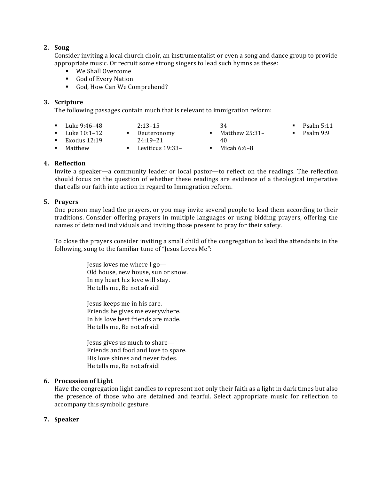#### **2. Song**

Consider inviting a local church choir, an instrumentalist or even a song and dance group to provide appropriate music. Or recruit some strong singers to lead such hymns as these:

- We Shall Overcome
- God of Every Nation
- God, How Can We Comprehend?

#### **3. Scripture**

The following passages contain much that is relevant to immigration reform:

- Luke 9:46–48
- 2:13–15
- Deuteronomy
- Luke 10:1–12 Exodus  $12:19$
- 24:19–21
- § Matthew 25:31– 40
- $\blacksquare$  Psalm 5:11
- $\blacksquare$  Psalm 9:9
- Matthew
- Leviticus 19:33–
- $\blacksquare$  Micah 6:6–8

34

**4. Reflection**

Invite a speaker—a community leader or local pastor—to reflect on the readings. The reflection should focus on the question of whether these readings are evidence of a theological imperative that calls our faith into action in regard to Immigration reform.

#### **5. Prayers**

One person may lead the prayers, or you may invite several people to lead them according to their traditions. Consider offering prayers in multiple languages or using bidding prayers, offering the names of detained individuals and inviting those present to pray for their safety.

To close the prayers consider inviting a small child of the congregation to lead the attendants in the following, sung to the familiar tune of "Jesus Loves Me":

> Jesus loves me where I go-Old house, new house, sun or snow. In my heart his love will stay. He tells me. Be not afraid!

Jesus keeps me in his care. Friends he gives me everywhere. In his love best friends are made. He tells me. Be not afraid!

Jesus gives us much to share— Friends and food and love to spare. His love shines and never fades. He tells me, Be not afraid!

#### **6.** Procession of Light

Have the congregation light candles to represent not only their faith as a light in dark times but also the presence of those who are detained and fearful. Select appropriate music for reflection to accompany this symbolic gesture.

#### **7. Speaker**